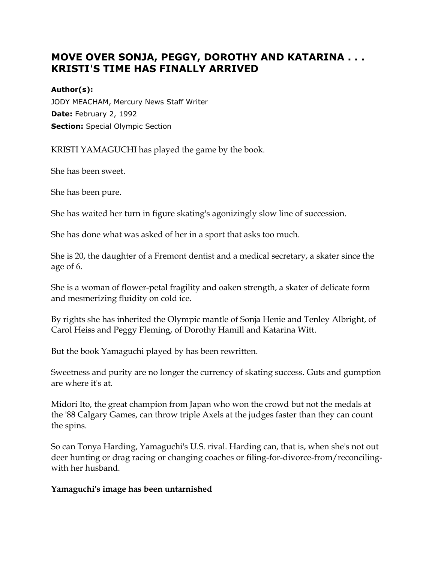# **MOVE OVER SONJA, PEGGY, DOROTHY AND KATARINA . . . KRISTI'S TIME HAS FINALLY ARRIVED**

#### **Author(s):**

JODY MEACHAM, Mercury News Staff Writer **Date:** February 2, 1992 **Section:** Special Olympic Section

KRISTI YAMAGUCHI has played the game by the book.

She has been sweet.

She has been pure.

She has waited her turn in figure skating's agonizingly slow line of succession.

She has done what was asked of her in a sport that asks too much.

She is 20, the daughter of a Fremont dentist and a medical secretary, a skater since the age of 6.

She is a woman of flower-petal fragility and oaken strength, a skater of delicate form and mesmerizing fluidity on cold ice.

By rights she has inherited the Olympic mantle of Sonja Henie and Tenley Albright, of Carol Heiss and Peggy Fleming, of Dorothy Hamill and Katarina Witt.

But the book Yamaguchi played by has been rewritten.

Sweetness and purity are no longer the currency of skating success. Guts and gumption are where it's at.

Midori Ito, the great champion from Japan who won the crowd but not the medals at the '88 Calgary Games, can throw triple Axels at the judges faster than they can count the spins.

So can Tonya Harding, Yamaguchi's U.S. rival. Harding can, that is, when she's not out deer hunting or drag racing or changing coaches or filing-for-divorce-from/reconcilingwith her husband.

#### **Yamaguchi's image has been untarnished**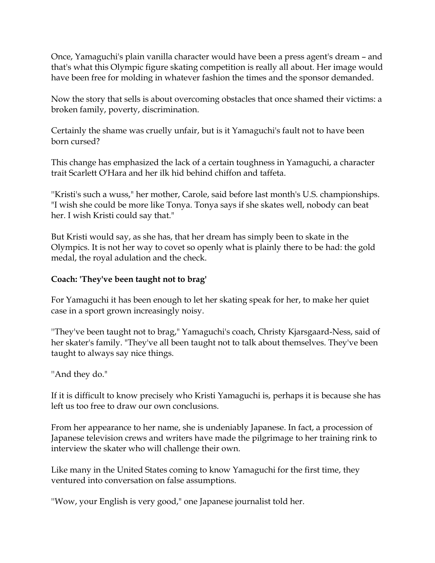Once, Yamaguchi's plain vanilla character would have been a press agent's dream – and that's what this Olympic figure skating competition is really all about. Her image would have been free for molding in whatever fashion the times and the sponsor demanded.

Now the story that sells is about overcoming obstacles that once shamed their victims: a broken family, poverty, discrimination.

Certainly the shame was cruelly unfair, but is it Yamaguchi's fault not to have been born cursed?

This change has emphasized the lack of a certain toughness in Yamaguchi, a character trait Scarlett O'Hara and her ilk hid behind chiffon and taffeta.

''Kristi's such a wuss," her mother, Carole, said before last month's U.S. championships. "I wish she could be more like Tonya. Tonya says if she skates well, nobody can beat her. I wish Kristi could say that."

But Kristi would say, as she has, that her dream has simply been to skate in the Olympics. It is not her way to covet so openly what is plainly there to be had: the gold medal, the royal adulation and the check.

## **Coach: 'They've been taught not to brag'**

For Yamaguchi it has been enough to let her skating speak for her, to make her quiet case in a sport grown increasingly noisy.

''They've been taught not to brag," Yamaguchi's coach, Christy Kjarsgaard-Ness, said of her skater's family. "They've all been taught not to talk about themselves. They've been taught to always say nice things.

''And they do."

If it is difficult to know precisely who Kristi Yamaguchi is, perhaps it is because she has left us too free to draw our own conclusions.

From her appearance to her name, she is undeniably Japanese. In fact, a procession of Japanese television crews and writers have made the pilgrimage to her training rink to interview the skater who will challenge their own.

Like many in the United States coming to know Yamaguchi for the first time, they ventured into conversation on false assumptions.

''Wow, your English is very good," one Japanese journalist told her.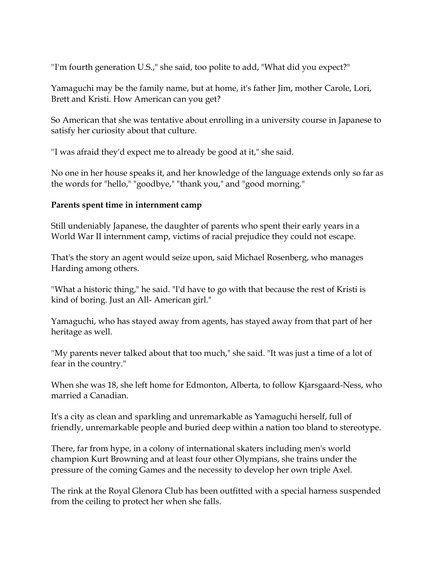''I'm fourth generation U.S.," she said, too polite to add, "What did you expect?"

Yamaguchi may be the family name, but at home, it's father Jim, mother Carole, Lori, Brett and Kristi. How American can you get?

So American that she was tentative about enrolling in a university course in Japanese to satisfy her curiosity about that culture.

''I was afraid they'd expect me to already be good at it," she said.

No one in her house speaks it, and her knowledge of the language extends only so far as the words for "hello," "goodbye," "thank you," and "good morning."

## **Parents spent time in internment camp**

Still undeniably Japanese, the daughter of parents who spent their early years in a World War II internment camp, victims of racial prejudice they could not escape.

That's the story an agent would seize upon, said Michael Rosenberg, who manages Harding among others.

''What a historic thing," he said. "I'd have to go with that because the rest of Kristi is kind of boring. Just an All- American girl."

Yamaguchi, who has stayed away from agents, has stayed away from that part of her heritage as well.

''My parents never talked about that too much," she said. "It was just a time of a lot of fear in the country."

When she was 18, she left home for Edmonton, Alberta, to follow Kjarsgaard-Ness, who married a Canadian.

It's a city as clean and sparkling and unremarkable as Yamaguchi herself, full of friendly, unremarkable people and buried deep within a nation too bland to stereotype.

There, far from hype, in a colony of international skaters including men's world champion Kurt Browning and at least four other Olympians, she trains under the pressure of the coming Games and the necessity to develop her own triple Axel.

The rink at the Royal Glenora Club has been outfitted with a special harness suspended from the ceiling to protect her when she falls.